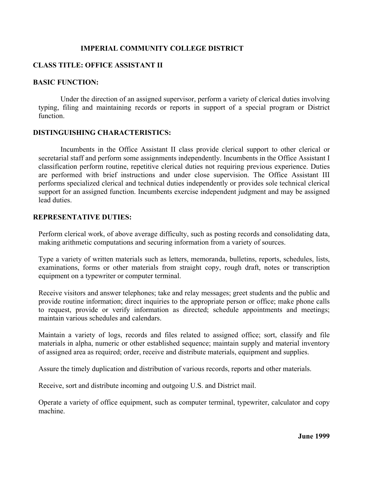## **IMPERIAL COMMUNITY COLLEGE DISTRICT**

## **CLASS TITLE: OFFICE ASSISTANT II**

### **BASIC FUNCTION:**

 Under the direction of an assigned supervisor, perform a variety of clerical duties involving typing, filing and maintaining records or reports in support of a special program or District function.

#### **DISTINGUISHING CHARACTERISTICS:**

 Incumbents in the Office Assistant II class provide clerical support to other clerical or secretarial staff and perform some assignments independently. Incumbents in the Office Assistant I classification perform routine, repetitive clerical duties not requiring previous experience. Duties are performed with brief instructions and under close supervision. The Office Assistant III performs specialized clerical and technical duties independently or provides sole technical clerical support for an assigned function. Incumbents exercise independent judgment and may be assigned lead duties.

#### **REPRESENTATIVE DUTIES:**

Perform clerical work, of above average difficulty, such as posting records and consolidating data, making arithmetic computations and securing information from a variety of sources.

Type a variety of written materials such as letters, memoranda, bulletins, reports, schedules, lists, examinations, forms or other materials from straight copy, rough draft, notes or transcription equipment on a typewriter or computer terminal.

Receive visitors and answer telephones; take and relay messages; greet students and the public and provide routine information; direct inquiries to the appropriate person or office; make phone calls to request, provide or verify information as directed; schedule appointments and meetings; maintain various schedules and calendars.

Maintain a variety of logs, records and files related to assigned office; sort, classify and file materials in alpha, numeric or other established sequence; maintain supply and material inventory of assigned area as required; order, receive and distribute materials, equipment and supplies.

Assure the timely duplication and distribution of various records, reports and other materials.

Receive, sort and distribute incoming and outgoing U.S. and District mail.

Operate a variety of office equipment, such as computer terminal, typewriter, calculator and copy machine.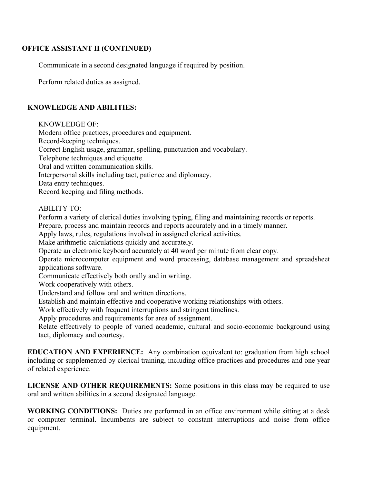## **OFFICE ASSISTANT II (CONTINUED)**

Communicate in a second designated language if required by position.

Perform related duties as assigned.

# **KNOWLEDGE AND ABILITIES:**

KNOWLEDGE OF:

Modern office practices, procedures and equipment.

Record-keeping techniques.

Correct English usage, grammar, spelling, punctuation and vocabulary.

Telephone techniques and etiquette.

Oral and written communication skills.

Interpersonal skills including tact, patience and diplomacy.

Data entry techniques.

Record keeping and filing methods.

## ABILITY TO:

Perform a variety of clerical duties involving typing, filing and maintaining records or reports.

Prepare, process and maintain records and reports accurately and in a timely manner.

Apply laws, rules, regulations involved in assigned clerical activities.

Make arithmetic calculations quickly and accurately.

Operate an electronic keyboard accurately at 40 word per minute from clear copy.

Operate microcomputer equipment and word processing, database management and spreadsheet applications software.

Communicate effectively both orally and in writing.

Work cooperatively with others.

Understand and follow oral and written directions.

Establish and maintain effective and cooperative working relationships with others.

Work effectively with frequent interruptions and stringent timelines.

Apply procedures and requirements for area of assignment.

Relate effectively to people of varied academic, cultural and socio-economic background using tact, diplomacy and courtesy.

**EDUCATION AND EXPERIENCE:** Any combination equivalent to: graduation from high school including or supplemented by clerical training, including office practices and procedures and one year of related experience.

**LICENSE AND OTHER REQUIREMENTS:** Some positions in this class may be required to use oral and written abilities in a second designated language.

**WORKING CONDITIONS:** Duties are performed in an office environment while sitting at a desk or computer terminal. Incumbents are subject to constant interruptions and noise from office equipment.